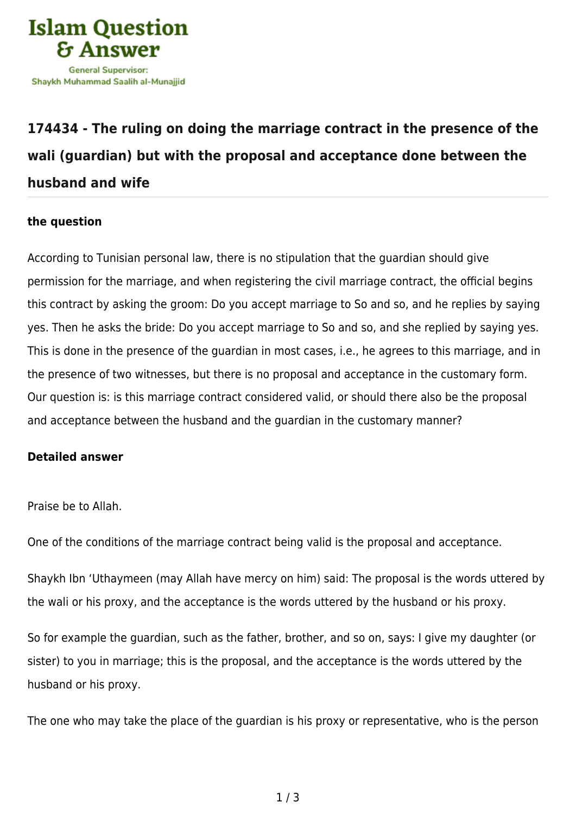

## **[174434 - The ruling on doing the marriage contract in the presence of the](https://islamqa.com/en/answers/174434/the-ruling-on-doing-the-marriage-contract-in-the-presence-of-the-wali-guardian-but-with-the-proposal-and-acceptance-done-between-the-husband-and-wife) [wali \(guardian\) but with the proposal and acceptance done between the](https://islamqa.com/en/answers/174434/the-ruling-on-doing-the-marriage-contract-in-the-presence-of-the-wali-guardian-but-with-the-proposal-and-acceptance-done-between-the-husband-and-wife) [husband and wife](https://islamqa.com/en/answers/174434/the-ruling-on-doing-the-marriage-contract-in-the-presence-of-the-wali-guardian-but-with-the-proposal-and-acceptance-done-between-the-husband-and-wife)**

## **the question**

According to Tunisian personal law, there is no stipulation that the guardian should give permission for the marriage, and when registering the civil marriage contract, the official begins this contract by asking the groom: Do you accept marriage to So and so, and he replies by saying yes. Then he asks the bride: Do you accept marriage to So and so, and she replied by saying yes. This is done in the presence of the guardian in most cases, i.e., he agrees to this marriage, and in the presence of two witnesses, but there is no proposal and acceptance in the customary form. Our question is: is this marriage contract considered valid, or should there also be the proposal and acceptance between the husband and the guardian in the customary manner?

## **Detailed answer**

Praise be to Allah.

One of the conditions of the marriage contract being valid is the proposal and acceptance.

Shaykh Ibn 'Uthaymeen (may Allah have mercy on him) said: The proposal is the words uttered by the wali or his proxy, and the acceptance is the words uttered by the husband or his proxy.

So for example the guardian, such as the father, brother, and so on, says: I give my daughter (or sister) to you in marriage; this is the proposal, and the acceptance is the words uttered by the husband or his proxy.

The one who may take the place of the guardian is his proxy or representative, who is the person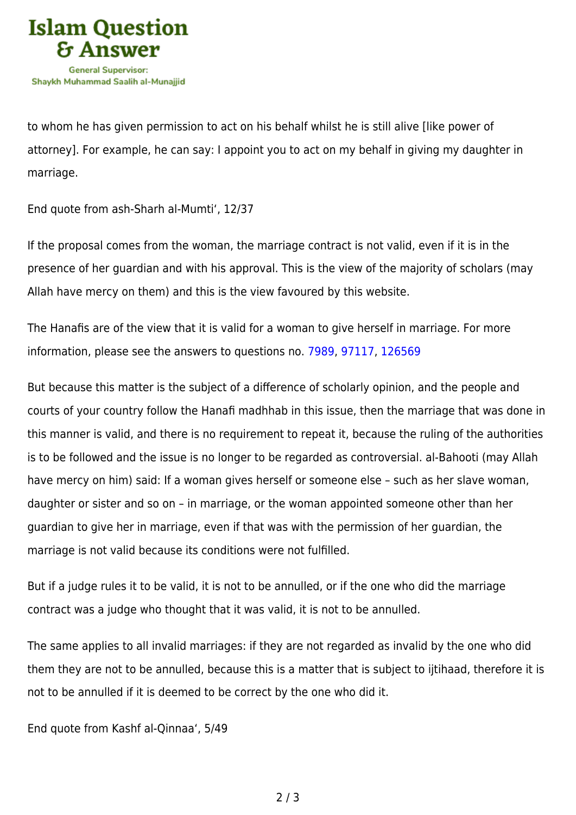

to whom he has given permission to act on his behalf whilst he is still alive [like power of attorney]. For example, he can say: I appoint you to act on my behalf in giving my daughter in marriage.

End quote from ash-Sharh al-Mumti', 12/37

If the proposal comes from the woman, the marriage contract is not valid, even if it is in the presence of her guardian and with his approval. This is the view of the majority of scholars (may Allah have mercy on them) and this is the view favoured by this website.

The Hanafis are of the view that it is valid for a woman to give herself in marriage. For more information, please see the answers to questions no. [7989,](https://islamqa.com/en/answers/7989) [97117,](https://islamqa.com/en/answers/97117) [126569](https://islamqa.com/ar/answers/)

But because this matter is the subject of a difference of scholarly opinion, and the people and courts of your country follow the Hanafi madhhab in this issue, then the marriage that was done in this manner is valid, and there is no requirement to repeat it, because the ruling of the authorities is to be followed and the issue is no longer to be regarded as controversial. al-Bahooti (may Allah have mercy on him) said: If a woman gives herself or someone else – such as her slave woman, daughter or sister and so on – in marriage, or the woman appointed someone other than her guardian to give her in marriage, even if that was with the permission of her guardian, the marriage is not valid because its conditions were not fulfilled.

But if a judge rules it to be valid, it is not to be annulled, or if the one who did the marriage contract was a judge who thought that it was valid, it is not to be annulled.

The same applies to all invalid marriages: if they are not regarded as invalid by the one who did them they are not to be annulled, because this is a matter that is subject to ijtihaad, therefore it is not to be annulled if it is deemed to be correct by the one who did it.

End quote from Kashf al-Qinnaa', 5/49